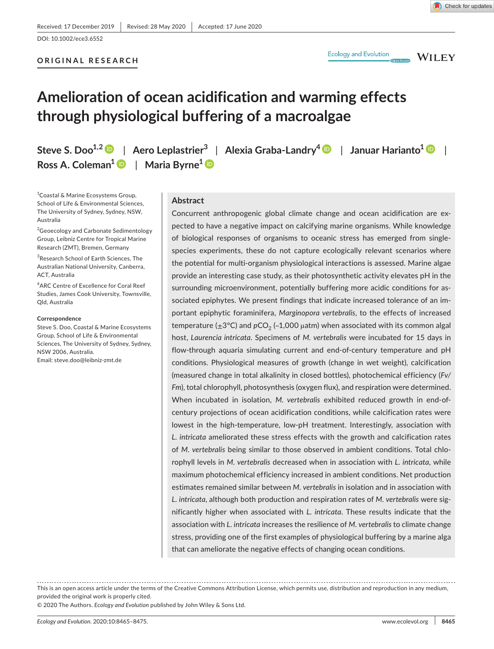**ORIGINAL RESEARCH**

**Ecology and Evolution** 

**WILEY** 

# **Amelioration of ocean acidification and warming effects through physiological buffering of a macroalgae**

**Steve S. Doo1,[2](https://orcid.org/0000-0002-3346-6152)** | **Aero Leplastrier<sup>3</sup>** | **Alexia Graba-Landry[4](https://orcid.org/0000-0002-1176-2321)** | **Januar Harianto[1](https://orcid.org/0000-0002-4803-108X)** | **Ross A. Coleman<sup>1</sup>** | **Maria Byrne<sup>1</sup>**

<sup>1</sup>Coastal & Marine Ecosystems Group, School of Life & Environmental Sciences, The University of Sydney, Sydney, NSW, Australia

<sup>2</sup>Geoecology and Carbonate Sedimentology Group, Leibniz Centre for Tropical Marine Research (ZMT), Bremen, Germany

<sup>3</sup>Research School of Earth Sciences, The Australian National University, Canberra, ACT, Australia

4 ARC Centre of Excellence for Coral Reef Studies, James Cook University, Townsville, Qld, Australia

#### **Correspondence**

Steve S. Doo, Coastal & Marine Ecosystems Group, School of Life & Environmental Sciences, The University of Sydney, Sydney, NSW 2006, Australia. Email: [steve.doo@leibniz-zmt.de](mailto:steve.doo@leibniz-zmt.de)

## **Abstract**

Concurrent anthropogenic global climate change and ocean acidification are expected to have a negative impact on calcifying marine organisms. While knowledge of biological responses of organisms to oceanic stress has emerged from singlespecies experiments, these do not capture ecologically relevant scenarios where the potential for multi-organism physiological interactions is assessed. Marine algae provide an interesting case study, as their photosynthetic activity elevates pH in the surrounding microenvironment, potentially buffering more acidic conditions for associated epiphytes. We present findings that indicate increased tolerance of an important epiphytic foraminifera, *Marginopora vertebralis*, to the effects of increased temperature  $(\pm 3^{\circ}C)$  and  $pCO_2$  (~1,000 µatm) when associated with its common algal host, *Laurencia intricata*. Specimens of *M. vertebralis* were incubated for 15 days in flow-through aquaria simulating current and end-of-century temperature and pH conditions. Physiological measures of growth (change in wet weight), calcification (measured change in total alkalinity in closed bottles), photochemical efficiency (*Fv/ Fm*), total chlorophyll, photosynthesis (oxygen flux), and respiration were determined. When incubated in isolation, *M. vertebralis* exhibited reduced growth in end-ofcentury projections of ocean acidification conditions, while calcification rates were lowest in the high-temperature, low-pH treatment. Interestingly, association with *L. intricata* ameliorated these stress effects with the growth and calcification rates of *M. vertebralis* being similar to those observed in ambient conditions. Total chlorophyll levels in *M. vertebralis* decreased when in association with *L. intricata*, while maximum photochemical efficiency increased in ambient conditions. Net production estimates remained similar between *M. vertebralis* in isolation and in association with *L. intricata*, although both production and respiration rates of *M. vertebralis* were significantly higher when associated with *L. intricata*. These results indicate that the association with *L. intricata* increases the resilience of *M. vertebralis* to climate change stress, providing one of the first examples of physiological buffering by a marine alga that can ameliorate the negative effects of changing ocean conditions.

This is an open access article under the terms of the [Creative Commons Attribution](http://creativecommons.org/licenses/by/4.0/) License, which permits use, distribution and reproduction in any medium, provided the original work is properly cited.

© 2020 The Authors. *Ecology and Evolution* published by John Wiley & Sons Ltd.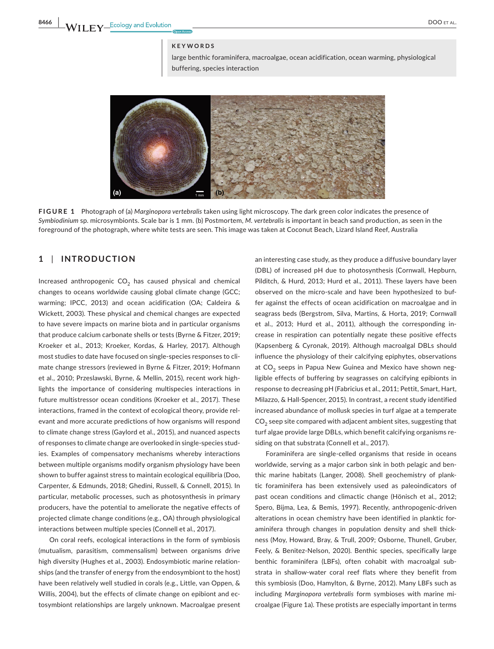#### **KEYWORDS**

large benthic foraminifera, macroalgae, ocean acidification, ocean warming, physiological buffering, species interaction



**FIGURE 1** Photograph of (a) *Marginopora vertebralis* taken using light microscopy. The dark green color indicates the presence of *Symbiodinium* sp. microsymbionts. Scale bar is 1 mm. (b) Postmortem, *M. vertebralis* is important in beach sand production, as seen in the foreground of the photograph, where white tests are seen. This image was taken at Coconut Beach, Lizard Island Reef, Australia

# **1** | **INTRODUCTION**

Increased anthropogenic  $CO<sub>2</sub>$  has caused physical and chemical changes to oceans worldwide causing global climate change (GCC; warming; IPCC, 2013) and ocean acidification (OA; Caldeira & Wickett, 2003). These physical and chemical changes are expected to have severe impacts on marine biota and in particular organisms that produce calcium carbonate shells or tests (Byrne & Fitzer, 2019; Kroeker et al., 2013; Kroeker, Kordas, & Harley, 2017). Although most studies to date have focused on single-species responses to climate change stressors (reviewed in Byrne & Fitzer, 2019; Hofmann et al., 2010; Przeslawski, Byrne, & Mellin, 2015), recent work highlights the importance of considering multispecies interactions in future multistressor ocean conditions (Kroeker et al., 2017). These interactions, framed in the context of ecological theory, provide relevant and more accurate predictions of how organisms will respond to climate change stress (Gaylord et al., 2015), and nuanced aspects of responses to climate change are overlooked in single-species studies. Examples of compensatory mechanisms whereby interactions between multiple organisms modify organism physiology have been shown to buffer against stress to maintain ecological equilibria (Doo, Carpenter, & Edmunds, 2018; Ghedini, Russell, & Connell, 2015). In particular, metabolic processes, such as photosynthesis in primary producers, have the potential to ameliorate the negative effects of projected climate change conditions (e.g., OA) through physiological interactions between multiple species (Connell et al., 2017).

On coral reefs, ecological interactions in the form of symbiosis (mutualism, parasitism, commensalism) between organisms drive high diversity (Hughes et al., 2003). Endosymbiotic marine relationships (and the transfer of energy from the endosymbiont to the host) have been relatively well studied in corals (e.g., Little, van Oppen, & Willis, 2004), but the effects of climate change on epibiont and ectosymbiont relationships are largely unknown. Macroalgae present

an interesting case study, as they produce a diffusive boundary layer (DBL) of increased pH due to photosynthesis (Cornwall, Hepburn, Pilditch, & Hurd, 2013; Hurd et al., 2011). These layers have been observed on the micro-scale and have been hypothesized to buffer against the effects of ocean acidification on macroalgae and in seagrass beds (Bergstrom, Silva, Martins, & Horta, 2019; Cornwall et al., 2013; Hurd et al., 2011), although the corresponding increase in respiration can potentially negate these positive effects (Kapsenberg & Cyronak, 2019). Although macroalgal DBLs should influence the physiology of their calcifying epiphytes, observations at CO<sub>2</sub> seeps in Papua New Guinea and Mexico have shown negligible effects of buffering by seagrasses on calcifying epibionts in response to decreasing pH (Fabricius et al., 2011; Pettit, Smart, Hart, Milazzo, & Hall-Spencer, 2015). In contrast, a recent study identified increased abundance of mollusk species in turf algae at a temperate  $CO<sub>2</sub>$  seep site compared with adjacent ambient sites, suggesting that turf algae provide large DBLs, which benefit calcifying organisms residing on that substrata (Connell et al., 2017).

Foraminifera are single-celled organisms that reside in oceans worldwide, serving as a major carbon sink in both pelagic and benthic marine habitats (Langer, 2008). Shell geochemistry of planktic foraminifera has been extensively used as paleoindicators of past ocean conditions and climactic change (Hönisch et al., 2012; Spero, Bijma, Lea, & Bemis, 1997). Recently, anthropogenic-driven alterations in ocean chemistry have been identified in planktic foraminifera through changes in population density and shell thickness (Moy, Howard, Bray, & Trull, 2009; Osborne, Thunell, Gruber, Feely, & Benitez-Nelson, 2020). Benthic species, specifically large benthic foraminifera (LBFs), often cohabit with macroalgal substrata in shallow-water coral reef flats where they benefit from this symbiosis (Doo, Hamylton, & Byrne, 2012). Many LBFs such as including *Marginopora vertebralis* form symbioses with marine microalgae (Figure 1a). These protists are especially important in terms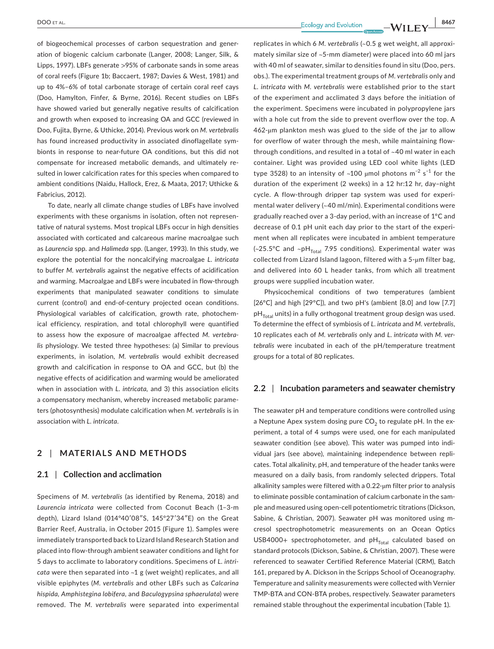of biogeochemical processes of carbon sequestration and generation of biogenic calcium carbonate (Langer, 2008; Langer, Silk, & Lipps, 1997). LBFs generate >95% of carbonate sands in some areas of coral reefs (Figure 1b; Baccaert, 1987; Davies & West, 1981) and up to 4%–6% of total carbonate storage of certain coral reef cays (Doo, Hamylton, Finfer, & Byrne, 2016). Recent studies on LBFs have showed varied but generally negative results of calcification and growth when exposed to increasing OA and GCC (reviewed in Doo, Fujita, Byrne, & Uthicke, 2014). Previous work on *M. vertebralis* has found increased productivity in associated dinoflagellate symbionts in response to near-future OA conditions, but this did not compensate for increased metabolic demands, and ultimately resulted in lower calcification rates for this species when compared to ambient conditions (Naidu, Hallock, Erez, & Maata, 2017; Uthicke & Fabricius, 2012).

To date, nearly all climate change studies of LBFs have involved experiments with these organisms in isolation, often not representative of natural systems. Most tropical LBFs occur in high densities associated with corticated and calcareous marine macroalgae such as *Laurencia* spp. and *Halimeda* spp. (Langer, 1993). In this study, we explore the potential for the noncalcifying macroalgae *L. intricata* to buffer *M. vertebralis* against the negative effects of acidification and warming. Macroalgae and LBFs were incubated in flow-through experiments that manipulated seawater conditions to simulate current (control) and end-of-century projected ocean conditions. Physiological variables of calcification, growth rate, photochemical efficiency, respiration, and total chlorophyll were quantified to assess how the exposure of macroalgae affected *M. vertebralis* physiology. We tested three hypotheses: (a) Similar to previous experiments, in isolation, *M. vertebralis* would exhibit decreased growth and calcification in response to OA and GCC, but (b) the negative effects of acidification and warming would be ameliorated when in association with *L. intricata,* and 3) this association elicits a compensatory mechanism, whereby increased metabolic parameters (photosynthesis) modulate calcification when *M. vertebralis* is in association with *L. intricata*.

# **2** | **MATERIALS AND METHODS**

## **2.1** | **Collection and acclimation**

Specimens of *M. vertebralis* (as identified by Renema, 2018) and *Laurencia intricata* were collected from Coconut Beach (1–3-m depth), Lizard Island (014°40′08″S, 145°27′34″E) on the Great Barrier Reef, Australia, in October 2015 (Figure 1). Samples were immediately transported back to Lizard Island Research Station and placed into flow-through ambient seawater conditions and light for 5 days to acclimate to laboratory conditions. Specimens of *L. intricata* were then separated into ~1 g (wet weight) replicates, and all visible epiphytes (*M. vertebralis* and other LBFs such as *Calcarina hispida, Amphistegina lobifera*, and *Baculogypsina sphaerulata*) were removed. The *M. vertebralis* were separated into experimental replicates in which 6 *M. vertebralis* (~0.5 g wet weight, all approximately similar size of ~5-mm diameter) were placed into 60 ml jars with 40 ml of seawater, similar to densities found in situ (Doo, pers. obs.). The experimental treatment groups of *M. vertebralis* only and *L. intricata* with *M. vertebralis* were established prior to the start of the experiment and acclimated 3 days before the initiation of the experiment. Specimens were incubated in polypropylene jars with a hole cut from the side to prevent overflow over the top. A 462-µm plankton mesh was glued to the side of the jar to allow for overflow of water through the mesh, while maintaining flowthrough conditions, and resulted in a total of ~40 ml water in each container. Light was provided using LED cool white lights (LED type 3528) to an intensity of ~100 µmol photons  $m^{-2}$  s<sup>-1</sup> for the duration of the experiment (2 weeks) in a 12 hr:12 hr, day–night cycle. A flow-through dripper tap system was used for experimental water delivery (~40 ml/min). Experimental conditions were gradually reached over a 3-day period, with an increase of 1°C and decrease of 0.1 pH unit each day prior to the start of the experiment when all replicates were incubated in ambient temperature (~25.5°C and ~pH $_{\text{Total}}$  7.95 conditions). Experimental water was collected from Lizard Island lagoon, filtered with a 5-µm filter bag, and delivered into 60 L header tanks, from which all treatment groups were supplied incubation water.

Physicochemical conditions of two temperatures (ambient [26°C] and high [29°C]), and two pH's (ambient [8.0] and low [7.7]  $pH<sub>Total</sub>$  units) in a fully orthogonal treatment group design was used. To determine the effect of symbiosis of *L. intricata* and *M. vertebralis*, 10 replicates each of *M. vertebralis* only and *L. intricata* with *M. vertebralis* were incubated in each of the pH/temperature treatment groups for a total of 80 replicates.

#### **2.2** | **Incubation parameters and seawater chemistry**

The seawater pH and temperature conditions were controlled using a Neptune Apex system dosing pure  $CO<sub>2</sub>$  to regulate pH. In the experiment, a total of 4 sumps were used, one for each manipulated seawater condition (see above). This water was pumped into individual jars (see above), maintaining independence between replicates. Total alkalinity, pH, and temperature of the header tanks were measured on a daily basis, from randomly selected drippers. Total alkalinity samples were filtered with a 0.22-µm filter prior to analysis to eliminate possible contamination of calcium carbonate in the sample and measured using open-cell potentiometric titrations (Dickson, Sabine, & Christian, 2007). Seawater pH was monitored using mcresol spectrophotometric measurements on an Ocean Optics USB4000+ spectrophotometer, and  $pH_{\text{Total}}$  calculated based on standard protocols (Dickson, Sabine, & Christian, 2007). These were referenced to seawater Certified Reference Material (CRM), Batch 161, prepared by A. Dickson in the Scripps School of Oceanography. Temperature and salinity measurements were collected with Vernier TMP-BTA and CON-BTA probes, respectively. Seawater parameters remained stable throughout the experimental incubation (Table 1).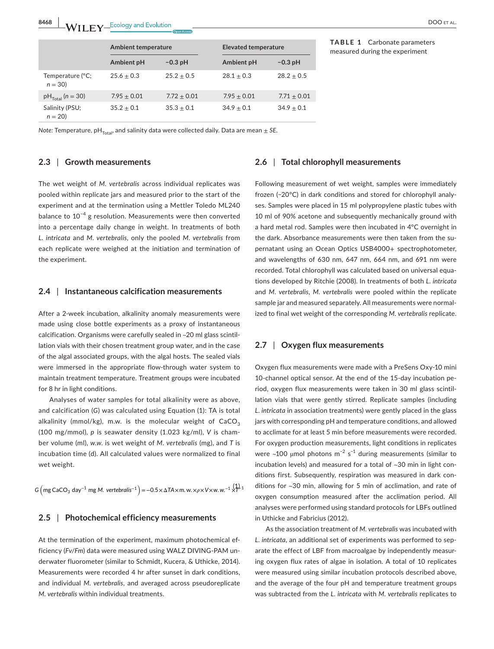|                              | Ambient temperature |                 | <b>Elevated temperature</b> |               |
|------------------------------|---------------------|-----------------|-----------------------------|---------------|
|                              | Ambient pH          | $-0.3$ pH       | Ambient pH                  | $-0.3$ pH     |
| Temperature (°C;<br>$n = 30$ | $25.6 + 0.3$        | $25.2 + 0.5$    | $28.1 + 0.3$                | $28.2 + 0.5$  |
| $pH_{\text{Total}}$ (n = 30) | $7.95 + 0.01$       | $7.72 \pm 0.01$ | $7.95 + 0.01$               | $7.71 + 0.01$ |
| Salinity (PSU;<br>$n = 20$   | $35.2 + 0.1$        | $35.3 + 0.1$    | $34.9 + 0.1$                | $34.9 + 0.1$  |

**TABLE 1** Carbonate parameters measured during the experiment

*Note:* Temperature, pH<sub>Total</sub>, and salinity data were collected daily. Data are mean  $\pm$  SE.

## **2.3** | **Growth measurements**

The wet weight of *M. vertebralis* across individual replicates was pooled within replicate jars and measured prior to the start of the experiment and at the termination using a Mettler Toledo ML240 balance to 10−4 g resolution. Measurements were then converted into a percentage daily change in weight. In treatments of both *L. intricata* and *M. vertebralis*, only the pooled *M. vertebralis* from each replicate were weighed at the initiation and termination of the experiment.

#### **2.4** | **Instantaneous calcification measurements**

After a 2-week incubation, alkalinity anomaly measurements were made using close bottle experiments as a proxy of instantaneous calcification. Organisms were carefully sealed in ~20 ml glass scintillation vials with their chosen treatment group water, and in the case of the algal associated groups, with the algal hosts. The sealed vials were immersed in the appropriate flow-through water system to maintain treatment temperature. Treatment groups were incubated for 8 hr in light conditions.

Analyses of water samples for total alkalinity were as above, and calcification (*G*) was calculated using Equation (1): TA is total alkalinity (mmol/kg), m.w. is the molecular weight of  $CaCO<sub>2</sub>$ (100 mg/mmol), *p* is seawater density (1.023 kg/ml), *V* is chamber volume (ml), *w*.*w*. is wet weight of *M. vertebralis* (mg), and *T* is incubation time (d). All calculated values were normalized to final wet weight.

 $G(mg CaCO<sub>3</sub> day<sup>-1</sup> mg M. vertebralis<sup>-1</sup>) = -0.5 × ΔTA×m. w. ×*ρ* × V×w. w.<sup>-1</sup>  $\times$ <sup>1</sup> $\lambda$ <sup>1</sup>1$ 

#### **2.5** | **Photochemical efficiency measurements**

At the termination of the experiment, maximum photochemical efficiency (*Fv/Fm*) data were measured using WALZ DIVING-PAM underwater fluorometer (similar to Schmidt, Kucera, & Uthicke, 2014). Measurements were recorded 4 hr after sunset in dark conditions, and individual *M. vertebralis*, and averaged across pseudoreplicate *M. vertebralis* within individual treatments.

## **2.6** | **Total chlorophyll measurements**

Following measurement of wet weight, samples were immediately frozen (−20°C) in dark conditions and stored for chlorophyll analyses. Samples were placed in 15 ml polypropylene plastic tubes with 10 ml of 90% acetone and subsequently mechanically ground with a hard metal rod. Samples were then incubated in 4°C overnight in the dark. Absorbance measurements were then taken from the supernatant using an Ocean Optics USB4000+ spectrophotometer, and wavelengths of 630 nm, 647 nm, 664 nm, and 691 nm were recorded. Total chlorophyll was calculated based on universal equations developed by Ritchie (2008). In treatments of both *L. intricata* and *M. vertebralis*, *M. vertebralis* were pooled within the replicate sample jar and measured separately. All measurements were normalized to final wet weight of the corresponding *M. vertebralis* replicate.

## **2.7** | **Oxygen flux measurements**

Oxygen flux measurements were made with a PreSens Oxy-10 mini 10-channel optical sensor. At the end of the 15-day incubation period, oxygen flux measurements were taken in 30 ml glass scintillation vials that were gently stirred. Replicate samples (including *L. intricata* in association treatments) were gently placed in the glass jars with corresponding pH and temperature conditions, and allowed to acclimate for at least 5 min before measurements were recorded. For oxygen production measurements, light conditions in replicates were ~100 µmol photons m $^{-2}$  s $^{-1}$  during measurements (similar to incubation levels) and measured for a total of ~30 min in light conditions first. Subsequently, respiration was measured in dark conditions for ~30 min, allowing for 5 min of acclimation, and rate of oxygen consumption measured after the acclimation period. All analyses were performed using standard protocols for LBFs outlined in Uthicke and Fabricius (2012).

As the association treatment of *M. vertebralis* was incubated with *L. intricata*, an additional set of experiments was performed to separate the effect of LBF from macroalgae by independently measuring oxygen flux rates of algae in isolation. A total of 10 replicates were measured using similar incubation protocols described above, and the average of the four pH and temperature treatment groups was subtracted from the *L. intricata* with *M. vertebralis* replicates to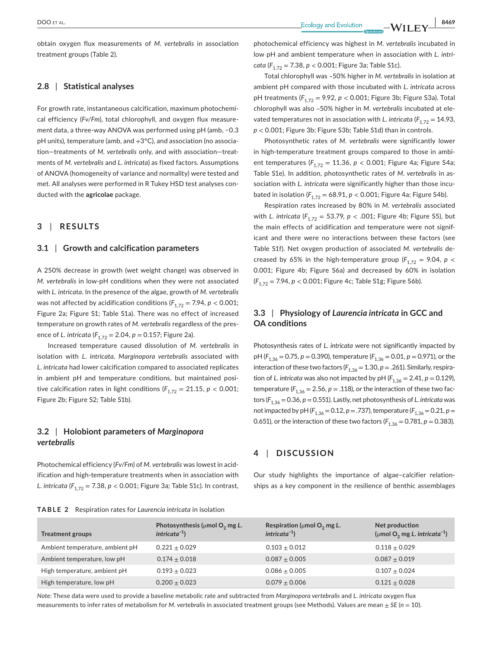obtain oxygen flux measurements of *M. vertebralis* in association treatment groups (Table 2).

## **2.8** | **Statistical analyses**

For growth rate, instantaneous calcification, maximum photochemical efficiency (*Fv/Fm*), total chlorophyll, and oxygen flux measurement data, a three-way ANOVA was performed using pH (amb, −0.3 pH units), temperature (amb, and +3°C), and association (no association—treatments of *M. vertebralis* only, and with association—treatments of *M. vertebralis* and *L. intricata*) as fixed factors. Assumptions of ANOVA (homogeneity of variance and normality) were tested and met. All analyses were performed in R Tukey HSD test analyses conducted with the **agricolae** package.

#### **3** | **RESULTS**

#### **3.1** | **Growth and calcification parameters**

A 250% decrease in growth (wet weight change) was observed in *M. vertebralis* in low-pH conditions when they were not associated with *L. intricata*. In the presence of the algae, growth of *M. vertebralis* was not affected by acidification conditions  $(F_{1,72} = 7.94, p < 0.001;$ Figure 2a; Figure S1; Table S1a). There was no effect of increased temperature on growth rates of *M. vertebralis* regardless of the presence of *L. intricata* ( $F_{1,72} = 2.04$ ,  $p = 0.157$ ; Figure 2a).

Increased temperature caused dissolution of *M. vertebralis* in isolation with *L. intricata*. *Marginopora vertebralis* associated with *L. intricata* had lower calcification compared to associated replicates in ambient pH and temperature conditions, but maintained positive calcification rates in light conditions ( $F_{1,72} = 21.15$ ,  $p < 0.001$ ; Figure 2b; Figure S2; Table S1b).

# **3.2** | **Holobiont parameters of** *Marginopora vertebralis*

Photochemical efficiency (*Fv/Fm*) of *M. vertebralis* was lowest in acidification and high-temperature treatments when in association with *L. intricata* ( $F_{1,72}$  = 7.38, *p* < 0.001; Figure 3a; Table S1c). In contrast,

 **|** DOO et al. **8469**

photochemical efficiency was highest in *M. vertebralis* incubated in low pH and ambient temperature when in association with *L. intricata* ( $F_{1,72}$  = 7.38,  $p$  < 0.001; Figure 3a; Table S1c).

Total chlorophyll was ~50% higher in *M. vertebralis* in isolation at ambient pH compared with those incubated with *L. intricata* across pH treatments ( $F_{1,72}$  = 9.92, *p* < 0.001; Figure 3b; Figure S3a). Total chlorophyll was also ~50% higher in *M. vertebralis* incubated at elevated temperatures not in association with *L. intricata* ( $F_{1,72} = 14.93$ , *p* < 0.001; Figure 3b; Figure S3b; Table S1d) than in controls.

Photosynthetic rates of *M. vertebralis* were significantly lower in high-temperature treatment groups compared to those in ambient temperatures ( $F_{1,72}$  = 11.36,  $p$  < 0.001; Figure 4a; Figure S4a; Table S1e). In addition, photosynthetic rates of *M. vertebralis* in association with *L. intricata* were significantly higher than those incubated in isolation ( $F_{1,72} = 68.91$ ,  $p < 0.001$ ; Figure 4a; Figure S4b).

Respiration rates increased by 80% in *M. vertebralis* associated with *L. intricata* ( $F_{1,72}$  = 53.79, *p* < .001; Figure 4b; Figure S5), but the main effects of acidification and temperature were not significant and there were no interactions between these factors (see Table S1f). Net oxygen production of associated *M. vertebralis* decreased by 65% in the high-temperature group ( $F_{1,72}$  = 9.04, *p* < 0.001; Figure 4b; Figure S6a) and decreased by 60% in isolation (*F*1,72 = 7.94, *p* < 0.001; Figure 4c; Table S1g; Figure S6b).

# **3.3** | **Physiology of** *Laurencia intricata* **in GCC and OA conditions**

Photosynthesis rates of *L. intricata* were not significantly impacted by pH (*F*1,36 = 0.75, *p* = 0.390), temperature (*F*1,36 = 0.01, *p* = 0.971), or the interaction of these two factors  $(F_{1,36} = 1.30, p = .261)$ . Similarly, respiration of *L.* intricata was also not impacted by pH  $(F_{1,36} = 2.41, p = 0.129)$ , temperature  $(F_{1,36} = 2.56, p = .118)$ , or the interaction of these two factors ( $F_{1,36} = 0.36$ ,  $p = 0.551$ ). Lastly, net photosynthesis of *L. intricata* was not impacted by pH ( $F_{1,36} = 0.12$ , *p* = .737), temperature ( $F_{1,36} = 0.21$ , *p* = 0.651), or the interaction of these two factors  $(F_{1,36} = 0.781, p = 0.383)$ .

# **4** | **DISCUSSION**

Our study highlights the importance of algae–calcifier relationships as a key component in the resilience of benthic assemblages

| <b>TABLE 2</b> Respiration rates for Laurencia intricata in isolation |  |
|-----------------------------------------------------------------------|--|
|-----------------------------------------------------------------------|--|

| <b>Treatment groups</b>         | Photosynthesis ( $\mu$ mol O <sub>2</sub> mg L.<br>$intricata^{-1}$ ) | Respiration ( $\mu$ mol O <sub>2</sub> mg L.<br>$intricata^{-1}$ ) | Net production<br>(µmol O <sub>2</sub> mg L. intricata <sup>-1</sup> ) |
|---------------------------------|-----------------------------------------------------------------------|--------------------------------------------------------------------|------------------------------------------------------------------------|
| Ambient temperature, ambient pH | $0.221 + 0.029$                                                       | $0.103 + 0.012$                                                    | $0.118 + 0.029$                                                        |
| Ambient temperature, low pH     | $0.174 + 0.018$                                                       | $0.087 + 0.005$                                                    | $0.087 + 0.019$                                                        |
| High temperature, ambient pH    | $0.193 + 0.023$                                                       | $0.086 + 0.005$                                                    | $0.107 + 0.024$                                                        |
| High temperature, low pH        | $0.200 + 0.023$                                                       | $0.079 + 0.006$                                                    | $0.121 + 0.028$                                                        |

*Note:* These data were used to provide a baseline metabolic rate and subtracted from *Marginopora vertebralis* and *L. intricata* oxygen flux measurements to infer rates of metabolism for *M. vertebralis* in associated treatment groups (see Methods). Values are mean ± *SE* (*n* = 10).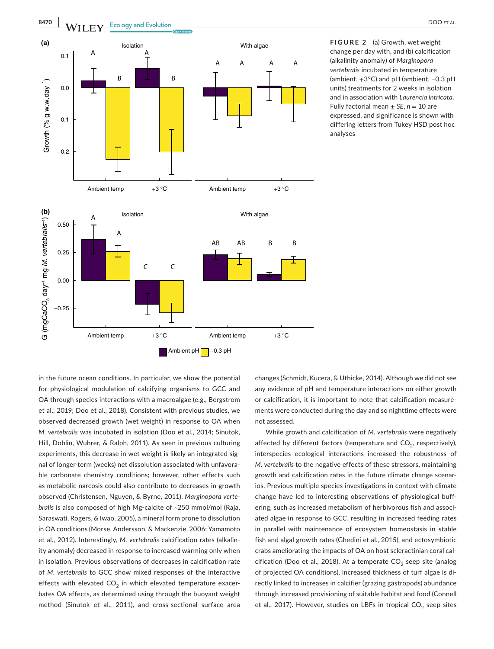

analyses

in the future ocean conditions. In particular, we show the potential for physiological modulation of calcifying organisms to GCC and OA through species interactions with a macroalgae (e.g., Bergstrom et al., 2019; Doo et al., 2018). Consistent with previous studies, we observed decreased growth (wet weight) in response to OA when *M. vertebralis* was incubated in isolation (Doo et al., 2014; Sinutok, Hill, Doblin, Wuhrer, & Ralph, 2011). As seen in previous culturing experiments, this decrease in wet weight is likely an integrated signal of longer-term (weeks) net dissolution associated with unfavorable carbonate chemistry conditions; however, other effects such as metabolic narcosis could also contribute to decreases in growth observed (Christensen, Nguyen, & Byrne, 2011). *Marginopora vertebralis* is also composed of high Mg-calcite of ~250 mmol/mol (Raja, Saraswati, Rogers, & Iwao, 2005), a mineral form prone to dissolution in OA conditions (Morse, Andersson, & Mackenzie, 2006; Yamamoto et al., 2012). Interestingly, *M. vertebralis* calcification rates (alkalinity anomaly) decreased in response to increased warming only when in isolation. Previous observations of decreases in calcification rate of *M. vertebralis* to GCC show mixed responses of the interactive effects with elevated  $CO<sub>2</sub>$  in which elevated temperature exacerbates OA effects, as determined using through the buoyant weight method (Sinutok et al., 2011), and cross-sectional surface area

changes (Schmidt, Kucera, & Uthicke, 2014). Although we did not see any evidence of pH and temperature interactions on either growth or calcification, it is important to note that calcification measurements were conducted during the day and so nighttime effects were not assessed.

While growth and calcification of *M. vertebralis* were negatively affected by different factors (temperature and  $CO<sub>2</sub>$ , respectively), interspecies ecological interactions increased the robustness of *M. vertebralis* to the negative effects of these stressors, maintaining growth and calcification rates in the future climate change scenarios. Previous multiple species investigations in context with climate change have led to interesting observations of physiological buffering, such as increased metabolism of herbivorous fish and associated algae in response to GCC, resulting in increased feeding rates in parallel with maintenance of ecosystem homeostasis in stable fish and algal growth rates (Ghedini et al., 2015), and ectosymbiotic crabs ameliorating the impacts of OA on host scleractinian coral calcification (Doo et al., 2018). At a temperate  $CO_2$  seep site (analog of projected OA conditions), increased thickness of turf algae is directly linked to increases in calcifier (grazing gastropods) abundance through increased provisioning of suitable habitat and food (Connell et al., 2017). However, studies on LBFs in tropical  $CO_2$  seep sites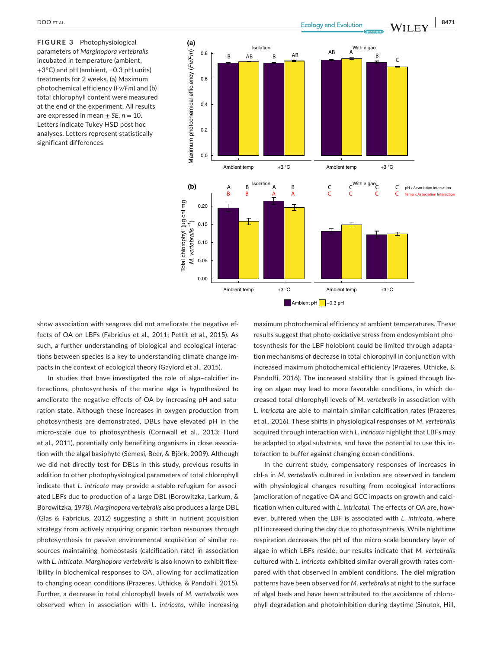**FIGURE 3** Photophysiological parameters of *Marginopora vertebralis* incubated in temperature (ambient, +3°C) and pH (ambient, −0.3 pH units) treatments for 2 weeks. (a) Maximum photochemical efficiency (*Fv/Fm*) and (b) total chlorophyll content were measured at the end of the experiment. All results are expressed in mean  $\pm$  *SE*, *n* = 10. Letters indicate Tukey HSD post hoc analyses. Letters represent statistically significant differences



show association with seagrass did not ameliorate the negative effects of OA on LBFs (Fabricius et al., 2011; Pettit et al., 2015). As such, a further understanding of biological and ecological interactions between species is a key to understanding climate change impacts in the context of ecological theory (Gaylord et al., 2015).

In studies that have investigated the role of alga–calcifier interactions, photosynthesis of the marine alga is hypothesized to ameliorate the negative effects of OA by increasing pH and saturation state. Although these increases in oxygen production from photosynthesis are demonstrated, DBLs have elevated pH in the micro-scale due to photosynthesis (Cornwall et al., 2013; Hurd et al., 2011), potentially only benefiting organisms in close association with the algal basiphyte (Semesi, Beer, & Björk, 2009). Although we did not directly test for DBLs in this study, previous results in addition to other photophysiological parameters of total chlorophyll indicate that *L. intricata* may provide a stable refugium for associated LBFs due to production of a large DBL (Borowitzka, Larkum, & Borowitzka, 1978). *Marginopora vertebralis* also produces a large DBL (Glas & Fabricius, 2012) suggesting a shift in nutrient acquisition strategy from actively acquiring organic carbon resources through photosynthesis to passive environmental acquisition of similar resources maintaining homeostasis (calcification rate) in association with *L. intricata*. *Marginopora vertebralis* is also known to exhibit flexibility in biochemical responses to OA, allowing for acclimatization to changing ocean conditions (Prazeres, Uthicke, & Pandolfi, 2015). Further, a decrease in total chlorophyll levels of *M. vertebralis* was observed when in association with *L. intricata*, while increasing maximum photochemical efficiency at ambient temperatures. These results suggest that photo-oxidative stress from endosymbiont photosynthesis for the LBF holobiont could be limited through adaptation mechanisms of decrease in total chlorophyll in conjunction with increased maximum photochemical efficiency (Prazeres, Uthicke, & Pandolfi, 2016). The increased stability that is gained through living on algae may lead to more favorable conditions, in which decreased total chlorophyll levels of *M. vertebralis* in association with *L. intricata* are able to maintain similar calcification rates (Prazeres et al., 2016). These shifts in physiological responses of *M. vertebralis* acquired through interaction with *L. intricata* highlight that LBFs may be adapted to algal substrata, and have the potential to use this interaction to buffer against changing ocean conditions.

In the current study, compensatory responses of increases in chl-a in *M. vertebralis* cultured in isolation are observed in tandem with physiological changes resulting from ecological interactions (amelioration of negative OA and GCC impacts on growth and calcification when cultured with *L. intricata*). The effects of OA are, however, buffered when the LBF is associated with *L. intricata*, where pH increased during the day due to photosynthesis. While nighttime respiration decreases the pH of the micro-scale boundary layer of algae in which LBFs reside, our results indicate that *M. vertebralis* cultured with *L. intricata* exhibited similar overall growth rates compared with that observed in ambient conditions. The diel migration patterns have been observed for *M. vertebralis* at night to the surface of algal beds and have been attributed to the avoidance of chlorophyll degradation and photoinhibition during daytime (Sinutok, Hill,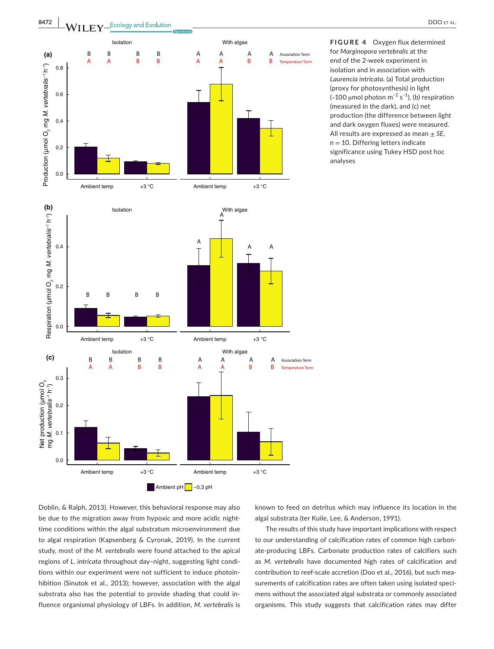

**FIGURE 4**  Oxygen flux determined for *Marginopora vertebralis* at the end of the 2-week experiment in isolation and in association with *Laurencia intricata*. (a) Total production (proxy for photosynthesis) in light (~100 μmol photon m<sup>-2</sup> s<sup>-1</sup>), (b) respiration (measured in the dark), and (c) net production (the difference between light and dark oxygen fluxes) were measured. All results are expressed as mean ± *SE*,  $n = 10$ . Differing letters indicate significance using Tukey HSD post hoc analyses

Doblin, & Ralph, 2013). However, this behavioral response may also be due to the migration away from hypoxic and more acidic nighttime conditions within the algal substratum microenvironment due to algal respiration (Kapsenberg & Cyronak, 2019). In the current study, most of the *M. vertebralis* were found attached to the apical regions of *L. intricata* throughout day–night, suggesting light conditions within our experiment were not sufficient to induce photoinhibition (Sinutok et al., 2013); however, association with the algal substrata also has the potential to provide shading that could influence organismal physiology of LBFs. In addition, *M. vertebralis* is

known to feed on detritus which may influence its location in the algal substrata (ter Kuile, Lee, & Anderson, 1991).

The results of this study have important implications with respect to our understanding of calcification rates of common high carbonate-producing LBFs. Carbonate production rates of calcifiers such as *M. vertebralis* have documented high rates of calcification and contribution to reef-scale accretion (Doo et al., 2016), but such measurements of calcification rates are often taken using isolated specimens without the associated algal substrata or commonly associated organisms. This study suggests that calcification rates may differ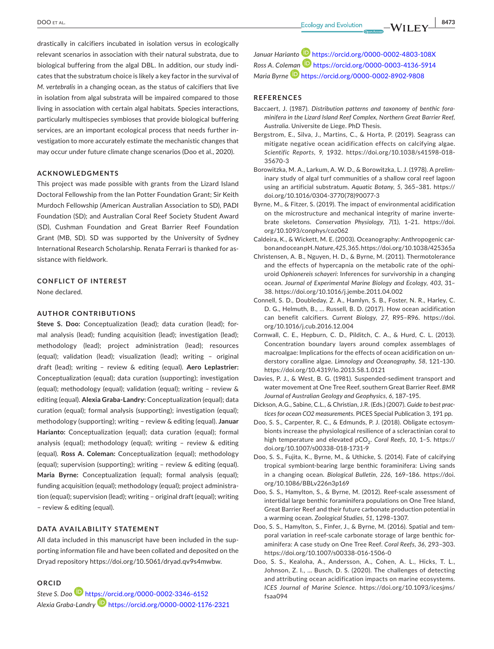drastically in calcifiers incubated in isolation versus in ecologically relevant scenarios in association with their natural substrata, due to biological buffering from the algal DBL. In addition, our study indicates that the substratum choice is likely a key factor in the survival of *M. vertebralis* in a changing ocean, as the status of calcifiers that live in isolation from algal substrata will be impaired compared to those living in association with certain algal habitats. Species interactions, particularly multispecies symbioses that provide biological buffering services, are an important ecological process that needs further investigation to more accurately estimate the mechanistic changes that may occur under future climate change scenarios (Doo et al., 2020).

#### **ACKNOWLEDGMENTS**

This project was made possible with grants from the Lizard Island Doctoral Fellowship from the Ian Potter Foundation Grant; Sir Keith Murdoch Fellowship (American Australian Association to SD), PADI Foundation (SD); and Australian Coral Reef Society Student Award (SD), Cushman Foundation and Great Barrier Reef Foundation Grant (MB, SD). SD was supported by the University of Sydney International Research Scholarship. Renata Ferrari is thanked for assistance with fieldwork.

#### **CONFLICT OF INTEREST**

None declared.

#### **AUTHOR CONTRIBUTIONS**

**Steve S. Doo:** Conceptualization (lead); data curation (lead); formal analysis (lead); funding acquisition (lead); investigation (lead); methodology (lead); project administration (lead); resources (equal); validation (lead); visualization (lead); writing – original draft (lead); writing – review & editing (equal). **Aero Leplastrier:** Conceptualization (equal); data curation (supporting); investigation (equal); methodology (equal); validation (equal); writing – review & editing (equal). **Alexia Graba-Landry:** Conceptualization (equal); data curation (equal); formal analysis (supporting); investigation (equal); methodology (supporting); writing – review & editing (equal). **Januar Harianto:** Conceptualization (equal); data curation (equal); formal analysis (equal); methodology (equal); writing – review & editing (equal). **Ross A. Coleman:** Conceptualization (equal); methodology (equal); supervision (supporting); writing – review & editing (equal). **Maria Byrne:** Conceptualization (equal); formal analysis (equal); funding acquisition (equal); methodology (equal); project administration (equal); supervision (lead); writing – original draft (equal); writing – review & editing (equal).

#### **DATA AVAILABILITY STATEMENT**

All data included in this manuscript have been included in the supporting information file and have been collated and deposited on the Dryad repository [https://doi.org/10.5061/dryad.qv9s4mwbw.](https://doi.org/10.5061/dryad.qv9s4mwbw)

#### **ORCID**

*Steve S. Doo* <https://orcid.org/0000-0002-3346-6152> *Alexia Graba-Landry* <https://orcid.org/0000-0002-1176-2321> *Januar Hariant[o](https://orcid.org/0000-0002-4803-108X)* <https://orcid.org/0000-0002-4803-108X> *Ross A. Cole[man](https://orcid.org/0000-0002-8902-9808)* <https://orcid.org/0000-0003-4136-5914> *Maria Byrne* <https://orcid.org/0000-0002-8902-9808>

#### **REFERENCES**

- Baccaert, J. (1987). *Distribution patterns and taxonomy of benthic foraminifera in the Lizard Island Reef Complex, Northern Great Barrier Reef, Australia*. Universite de Liege. PhD Thesis.
- Bergstrom, E., Silva, J., Martins, C., & Horta, P. (2019). Seagrass can mitigate negative ocean acidification effects on calcifying algae. *Scientific Reports*, *9*, 1932. [https://doi.org/10.1038/s41598-018-](https://doi.org/10.1038/s41598-018-35670-3) [35670-3](https://doi.org/10.1038/s41598-018-35670-3)
- Borowitzka, M. A., Larkum, A. W. D., & Borowitzka, L. J. (1978). A preliminary study of algal turf communities of a shallow coral reef lagoon using an artificial substratum. *Aquatic Botany*, *5*, 365–381. [https://](https://doi.org/10.1016/0304-3770(78)90077-3) [doi.org/10.1016/0304-3770\(78\)90077-3](https://doi.org/10.1016/0304-3770(78)90077-3)
- Byrne, M., & Fitzer, S. (2019). The impact of environmental acidification on the microstructure and mechanical integrity of marine invertebrate skeletons. *Conservation Physiology*, *7*(1), 1–21. [https://doi.](https://doi.org/10.1093/conphys/coz062) [org/10.1093/conphys/coz062](https://doi.org/10.1093/conphys/coz062)
- Caldeira, K., & Wickett, M. E. (2003). Oceanography: Anthropogenic carbon and ocean pH. *Nature*, *425*, 365.<https://doi.org/10.1038/425365a>
- Christensen, A. B., Nguyen, H. D., & Byrne, M. (2011). Thermotolerance and the effects of hypercapnia on the metabolic rate of the ophiuroid *Ophionereis schayeri*: Inferences for survivorship in a changing ocean. *Journal of Experimental Marine Biology and Ecology*, *403*, 31– 38. <https://doi.org/10.1016/j.jembe.2011.04.002>
- Connell, S. D., Doubleday, Z. A., Hamlyn, S. B., Foster, N. R., Harley, C. D. G., Helmuth, B., … Russell, B. D. (2017). How ocean acidification can benefit calcifiers. *Current Biology*, *27*, R95–R96. [https://doi.](https://doi.org/10.1016/j.cub.2016.12.004) [org/10.1016/j.cub.2016.12.004](https://doi.org/10.1016/j.cub.2016.12.004)
- Cornwall, C. E., Hepburn, C. D., Pilditch, C. A., & Hurd, C. L. (2013). Concentration boundary layers around complex assemblages of macroalgae: Implications for the effects of ocean acidification on understory coralline algae. *Limnology and Oceanography*, *58*, 121–130. <https://doi.org/10.4319/lo.2013.58.1.0121>
- Davies, P. J., & West, B. G. (1981). Suspended-sediment transport and water movement at One Tree Reef, southern Great Barrier Reef. *BMR Journal of Australian Geology and Geophysics*, *6*, 187–195.
- Dickson, A.G., Sabine, C.L., & Christian, J.R. (Eds.) (2007). *Guide to best practices for ocean CO2 measurements*. PICES Special Publication 3, 191 pp.
- Doo, S. S., Carpenter, R. C., & Edmunds, P. J. (2018). Obligate ectosymbionts increase the physiological resilience of a scleractinian coral to high temperature and elevated pCO<sub>2</sub>. Coral Reefs, 10, 1-5. [https://](https://doi.org/10.1007/s00338-018-1731-9) [doi.org/10.1007/s00338-018-1731-9](https://doi.org/10.1007/s00338-018-1731-9)
- Doo, S. S., Fujita, K., Byrne, M., & Uthicke, S. (2014). Fate of calcifying tropical symbiont-bearing large benthic foraminifera: Living sands in a changing ocean. *Biological Bulletin*, *226*, 169–186. [https://doi.](https://doi.org/10.1086/BBLv226n3p169) [org/10.1086/BBLv226n3p169](https://doi.org/10.1086/BBLv226n3p169)
- Doo, S. S., Hamylton, S., & Byrne, M. (2012). Reef-scale assessment of intertidal large benthic foraminifera populations on One Tree Island, Great Barrier Reef and their future carbonate production potential in a warming ocean. *Zoological Studies*, *51*, 1298–1307.
- Doo, S. S., Hamylton, S., Finfer, J., & Byrne, M. (2016). Spatial and temporal variation in reef-scale carbonate storage of large benthic foraminifera: A case study on One Tree Reef. *Coral Reefs*, *36*, 293–303. <https://doi.org/10.1007/s00338-016-1506-0>
- Doo, S. S., Kealoha, A., Andersson, A., Cohen, A. L., Hicks, T. L., Johnson, Z. I., … Busch, D. S. (2020). The challenges of detecting and attributing ocean acidification impacts on marine ecosystems. *ICES Journal of Marine Science*. [https://doi.org/10.1093/icesjms/](https://doi.org/10.1093/icesjms/fsaa094) [fsaa094](https://doi.org/10.1093/icesjms/fsaa094)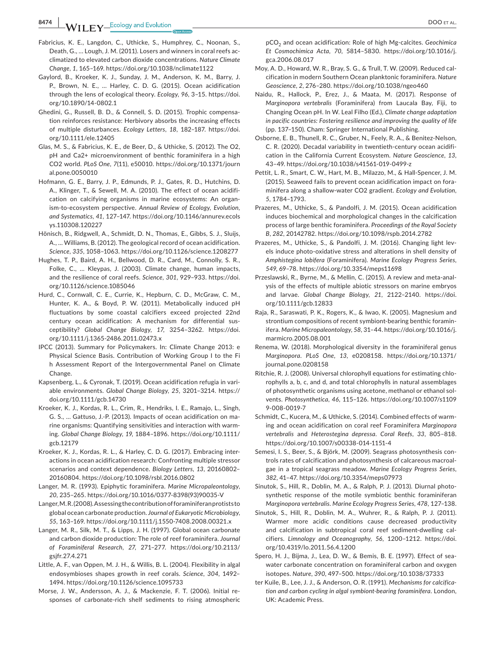- Fabricius, K. E., Langdon, C., Uthicke, S., Humphrey, C., Noonan, S., Death, G., … Lough, J. M. (2011). Losers and winners in coral reefs acclimatized to elevated carbon dioxide concentrations. *Nature Climate Change*, *1*, 165–169.<https://doi.org/10.1038/nclimate1122>
- Gaylord, B., Kroeker, K. J., Sunday, J. M., Anderson, K. M., Barry, J. P., Brown, N. E., … Harley, C. D. G. (2015). Ocean acidification through the lens of ecological theory. *Ecology*, *96*, 3–15. [https://doi.](https://doi.org/10.1890/14-0802.1) [org/10.1890/14-0802.1](https://doi.org/10.1890/14-0802.1)
- Ghedini, G., Russell, B. D., & Connell, S. D. (2015). Trophic compensation reinforces resistance: Herbivory absorbs the increasing effects of multiple disturbances. *Ecology Letters*, *18*, 182–187. [https://doi.](https://doi.org/10.1111/ele.12405) [org/10.1111/ele.12405](https://doi.org/10.1111/ele.12405)
- Glas, M. S., & Fabricius, K. E., de Beer, D., & Uthicke, S. (2012). The O2, pH and Ca2+ microenvironment of benthic foraminifera in a high CO2 world. *PLoS One*, *7*(11), e50010. [https://doi.org/10.1371/journ](https://doi.org/10.1371/journal.pone.0050010) [al.pone.0050010](https://doi.org/10.1371/journal.pone.0050010)
- Hofmann, G. E., Barry, J. P., Edmunds, P. J., Gates, R. D., Hutchins, D. A., Klinger, T., & Sewell, M. A. (2010). The effect of ocean acidification on calcifying organisms in marine ecosystems: An organism-to-ecosystem perspective. *Annual Review of Ecology, Evolution, and Systematics*, *41*, 127–147. [https://doi.org/10.1146/annurev.ecols](https://doi.org/10.1146/annurev.ecolsys.110308.120227) [ys.110308.120227](https://doi.org/10.1146/annurev.ecolsys.110308.120227)
- Hönisch, B., Ridgwell, A., Schmidt, D. N., Thomas, E., Gibbs, S. J., Sluijs, A., … Williams, B. (2012). The geological record of ocean acidification. *Science*, *335*, 1058–1063.<https://doi.org/10.1126/science.1208277>
- Hughes, T. P., Baird, A. H., Bellwood, D. R., Card, M., Connolly, S. R., Folke, C., … Kleypas, J. (2003). Climate change, human impacts, and the resilience of coral reefs. *Science*, *301*, 929–933. [https://doi.](https://doi.org/10.1126/science.1085046) [org/10.1126/science.1085046](https://doi.org/10.1126/science.1085046)
- Hurd, C., Cornwall, C. E., Currie, K., Hepburn, C. D., McGraw, C. M., Hunter, K. A., & Boyd, P. W. (2011). Metabolically induced pH fluctuations by some coastal calcifiers exceed projected 22nd century ocean acidification: A mechanism for differential susceptibility? *Global Change Biology*, *17*, 3254–3262. [https://doi.](https://doi.org/10.1111/j.1365-2486.2011.02473.x) [org/10.1111/j.1365-2486.2011.02473.x](https://doi.org/10.1111/j.1365-2486.2011.02473.x)
- IPCC (2013). Summary for Policymakers. In: Climate Change 2013: e Physical Science Basis. Contribution of Working Group I to the Fi h Assessment Report of the Intergovernmental Panel on Climate Change.
- Kapsenberg, L., & Cyronak, T. (2019). Ocean acidification refugia in variable environments. *Global Change Biology*, *25*, 3201–3214. [https://](https://doi.org/10.1111/gcb.14730) [doi.org/10.1111/gcb.14730](https://doi.org/10.1111/gcb.14730)
- Kroeker, K. J., Kordas, R. L., Crim, R., Hendriks, I. E., Ramajo, L., Singh, G. S., … Gattuso, J.-P. (2013). Impacts of ocean acidification on marine organisms: Quantifying sensitivities and interaction with warming. *Global Change Biology*, *19*, 1884–1896. [https://doi.org/10.1111/](https://doi.org/10.1111/gcb.12179) [gcb.12179](https://doi.org/10.1111/gcb.12179)
- Kroeker, K. J., Kordas, R. L., & Harley, C. D. G. (2017). Embracing interactions in ocean acidification research: Confronting multiple stressor scenarios and context dependence. *Biology Letters*, *13*, 20160802– 20160804.<https://doi.org/10.1098/rsbl.2016.0802>
- Langer, M. R. (1993). Epiphytic foraminifera. *Marine Micropaleontology*, *20*, 235–265. [https://doi.org/10.1016/0377-8398\(93\)90035-V](https://doi.org/10.1016/0377-8398(93)90035-V)
- Langer, M. R. (2008). Assessing the contribution of foraminiferan protists to global ocean carbonate production. *Journal of Eukaryotic Microbiology*, *55*, 163–169.<https://doi.org/10.1111/j.1550-7408.2008.00321.x>
- Langer, M. R., Silk, M. T., & Lipps, J. H. (1997). Global ocean carbonate and carbon dioxide production: The role of reef foraminifera. *Journal of Foraminiferal Research*, *27*, 271–277. [https://doi.org/10.2113/](https://doi.org/10.2113/gsjfr.27.4.271) [gsjfr.27.4.271](https://doi.org/10.2113/gsjfr.27.4.271)
- Little, A. F., van Oppen, M. J. H., & Willis, B. L. (2004). Flexibility in algal endosymbioses shapes growth in reef corals. *Science*, *304*, 1492– 1494.<https://doi.org/10.1126/science.1095733>
- Morse, J. W., Andersson, A. J., & Mackenzie, F. T. (2006). Initial responses of carbonate-rich shelf sediments to rising atmospheric

pCO2 and ocean acidification: Role of high Mg-calcites. *Geochimica Et Cosmochimica Acta*, *70*, 5814–5830. [https://doi.org/10.1016/j.](https://doi.org/10.1016/j.gca.2006.08.017) [gca.2006.08.017](https://doi.org/10.1016/j.gca.2006.08.017)

- Moy, A. D., Howard, W. R., Bray, S. G., & Trull, T. W. (2009). Reduced calcification in modern Southern Ocean planktonic foraminifera. *Nature Geoscience*, *2*, 276–280.<https://doi.org/10.1038/ngeo460>
- Naidu, R., Hallock, P., Erez, J., & Maata, M. (2017). Response of *Marginopora vertebralis* (Foraminifera) from Laucala Bay, Fiji, to Changing Ocean pH. In W. Leal Filho (Ed.), *Climate change adaptation in pacific countries: Fostering resilience and improving the quality of life* (pp. 137–150). Cham: Springer International Publishing.
- Osborne, E. B., Thunell, R. C., Gruber, N., Feely, R. A., & Benitez-Nelson, C. R. (2020). Decadal variability in twentieth-century ocean acidification in the California Current Ecosystem. *Nature Geoscience*, *13*, 43–49. <https://doi.org/10.1038/s41561-019-0499-z>
- Pettit, L. R., Smart, C. W., Hart, M. B., Milazzo, M., & Hall-Spencer, J. M. (2015). Seaweed fails to prevent ocean acidification impact on foraminifera along a shallow-water CO2 gradient. *Ecology and Evolution*, *5*, 1784–1793.
- Prazeres, M., Uthicke, S., & Pandolfi, J. M. (2015). Ocean acidification induces biochemical and morphological changes in the calcification process of large benthic foraminifera. *Proceedings of the Royal Society B*, *282*, 20142782. <https://doi.org/10.1098/rspb.2014.2782>
- Prazeres, M., Uthicke, S., & Pandolfi, J. M. (2016). Changing light levels induce photo-oxidative stress and alterations in shell density of *Amphistegina lobifera* (Foraminifera). *Marine Ecology Progress Series*, *549*, 69–78.<https://doi.org/10.3354/meps11698>
- Przeslawski, R., Byrne, M., & Mellin, C. (2015). A review and meta-analysis of the effects of multiple abiotic stressors on marine embryos and larvae. *Global Change Biology*, *21*, 2122–2140. [https://doi.](https://doi.org/10.1111/gcb.12833) [org/10.1111/gcb.12833](https://doi.org/10.1111/gcb.12833)
- Raja, R., Saraswati, P. K., Rogers, K., & Iwao, K. (2005). Magnesium and strontium compositions of recent symbiont-bearing benthic foraminifera. *Marine Micropaleontology*, *58*, 31–44. [https://doi.org/10.1016/j.](https://doi.org/10.1016/j.marmicro.2005.08.001) [marmicro.2005.08.001](https://doi.org/10.1016/j.marmicro.2005.08.001)
- Renema, W. (2018). Morphological diversity in the foraminiferal genus *Marginopora*. *PLoS One*, *13*, e0208158. [https://doi.org/10.1371/](https://doi.org/10.1371/journal.pone.0208158) [journal.pone.0208158](https://doi.org/10.1371/journal.pone.0208158)
- Ritchie, R. J. (2008). Universal chlorophyll equations for estimating chlorophylls a, b, c, and d, and total chlorophylls in natural assemblages of photosynthetic organisms using acetone, methanol or ethanol solvents. *Photosynthetica*, *46*, 115–126. [https://doi.org/10.1007/s1109](https://doi.org/10.1007/s11099-008-0019-7) [9-008-0019-7](https://doi.org/10.1007/s11099-008-0019-7)
- Schmidt, C., Kucera, M., & Uthicke, S. (2014). Combined effects of warming and ocean acidification on coral reef Foraminifera *Marginopora vertebralis* and *Heterostegina depressa*. *Coral Reefs*, *33*, 805–818. <https://doi.org/10.1007/s00338-014-1151-4>
- Semesi, I. S., Beer, S., & Björk, M. (2009). Seagrass photosynthesis controls rates of calcification and photosynthesis of calcareous macroalgae in a tropical seagrass meadow. *Marine Ecology Progress Series*, *382*, 41–47.<https://doi.org/10.3354/meps07973>
- Sinutok, S., Hill, R., Doblin, M. A., & Ralph, P. J. (2013). Diurnal photosynthetic response of the motile symbiotic benthic foraminiferan *Marginopora vertebralis*. *Marine Ecology Progress Series*, *478*, 127–138.
- Sinutok, S., Hill, R., Doblin, M. A., Wuhrer, R., & Ralph, P. J. (2011). Warmer more acidic conditions cause decreased productivity and calcification in subtropical coral reef sediment-dwelling calcifiers. *Limnology and Oceanography*, *56*, 1200–1212. [https://doi.](https://doi.org/10.4319/lo.2011.56.4.1200) [org/10.4319/lo.2011.56.4.1200](https://doi.org/10.4319/lo.2011.56.4.1200)
- Spero, H. J., Bijma, J., Lea, D. W., & Bemis, B. E. (1997). Effect of seawater carbonate concentration on foraminiferal carbon and oxygen isotopes. *Nature*, *390*, 497–500.<https://doi.org/10.1038/37333>
- ter Kuile, B., Lee, J. J., & Anderson, O. R. (1991). *Mechanisms for calcification and carbon cycling in algal symbiont-bearing foraminifera*. London, UK: Academic Press.